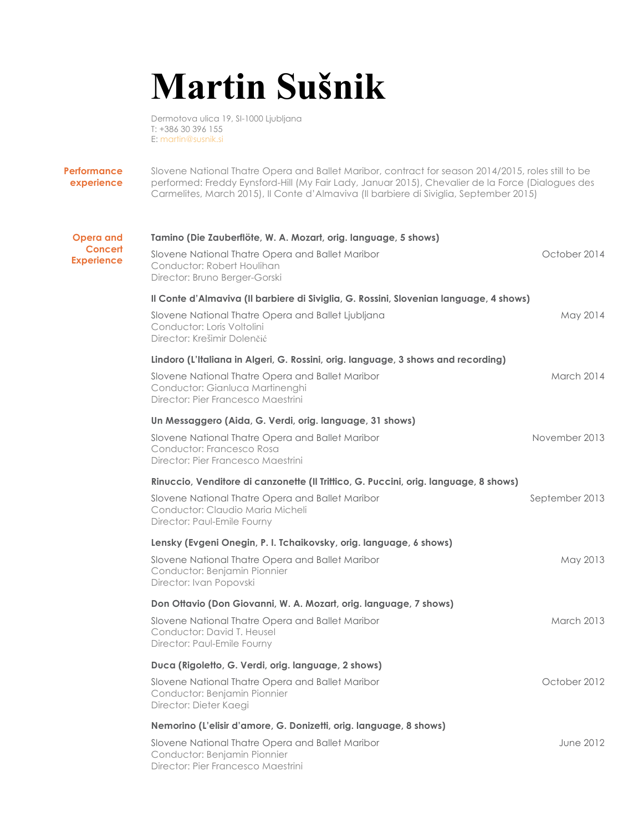## **Martin Sušnik**

Dermotova ulica 19, SI-1000 Ljubljana T: +386 30 396 155 E: martin@susnik.si

**Performance experience** Slovene National Thatre Opera and Ballet Maribor, contract for season 2014/2015, roles still to be performed: Freddy Eynsford-Hill (My Fair Lady, Januar 2015), Chevalier de la Force (Dialogues des Carmelites, March 2015), Il Conte d'Almaviva (Il barbiere di Siviglia, September 2015)

| <b>Opera and</b><br><b>Concert</b><br><b>Experience</b> | Tamino (Die Zauberflöte, W. A. Mozart, orig. language, 5 shows)<br>Slovene National Thatre Opera and Ballet Maribor       | October 2014      |
|---------------------------------------------------------|---------------------------------------------------------------------------------------------------------------------------|-------------------|
|                                                         | Conductor: Robert Houlihan<br>Director: Bruno Berger-Gorski                                                               |                   |
|                                                         | Il Conte d'Almaviva (Il barbiere di Siviglia, G. Rossini, Slovenian language, 4 shows)                                    |                   |
|                                                         | Slovene National Thatre Opera and Ballet Ljubljana<br>Conductor: Loris Voltolini<br>Director: Krešimir Dolenčić           | May 2014          |
|                                                         | Lindoro (L'Italiana in Algeri, G. Rossini, orig. language, 3 shows and recording)                                         |                   |
|                                                         | Slovene National Thatre Opera and Ballet Maribor<br>Conductor: Gianluca Martinenghi<br>Director: Pier Francesco Maestrini | March 2014        |
|                                                         | Un Messaggero (Aida, G. Verdi, orig. language, 31 shows)                                                                  |                   |
|                                                         | Slovene National Thatre Opera and Ballet Maribor<br>Conductor: Francesco Rosa<br>Director: Pier Francesco Maestrini       | November 2013     |
|                                                         | Rinuccio, Venditore di canzonette (Il Trittico, G. Puccini, orig. language, 8 shows)                                      |                   |
|                                                         | Slovene National Thatre Opera and Ballet Maribor<br>Conductor: Claudio Maria Micheli<br>Director: Paul-Emile Fourny       | September 2013    |
|                                                         | Lensky (Evgeni Onegin, P. I. Tchaikovsky, orig. language, 6 shows)                                                        |                   |
|                                                         | Slovene National Thatre Opera and Ballet Maribor<br>Conductor: Benjamin Pionnier<br>Director: Ivan Popovski               | May 2013          |
|                                                         | Don Ottavio (Don Giovanni, W. A. Mozart, orig. language, 7 shows)                                                         |                   |
|                                                         | Slovene National Thatre Opera and Ballet Maribor<br>Conductor: David T. Heusel<br>Director: Paul-Emile Fourny             | <b>March 2013</b> |
|                                                         | Duca (Rigoletto, G. Verdi, orig. language, 2 shows)                                                                       |                   |
|                                                         | Slovene National Thatre Opera and Ballet Maribor<br>Conductor: Benjamin Pionnier<br>Director: Dieter Kaegi                | October 2012      |
|                                                         | Nemorino (L'elisir d'amore, G. Donizetti, orig. language, 8 shows)                                                        |                   |
|                                                         | Slovene National Thatre Opera and Ballet Maribor<br>Conductor: Benjamin Pionnier<br>Director: Pier Francesco Maestrini    | June 2012         |